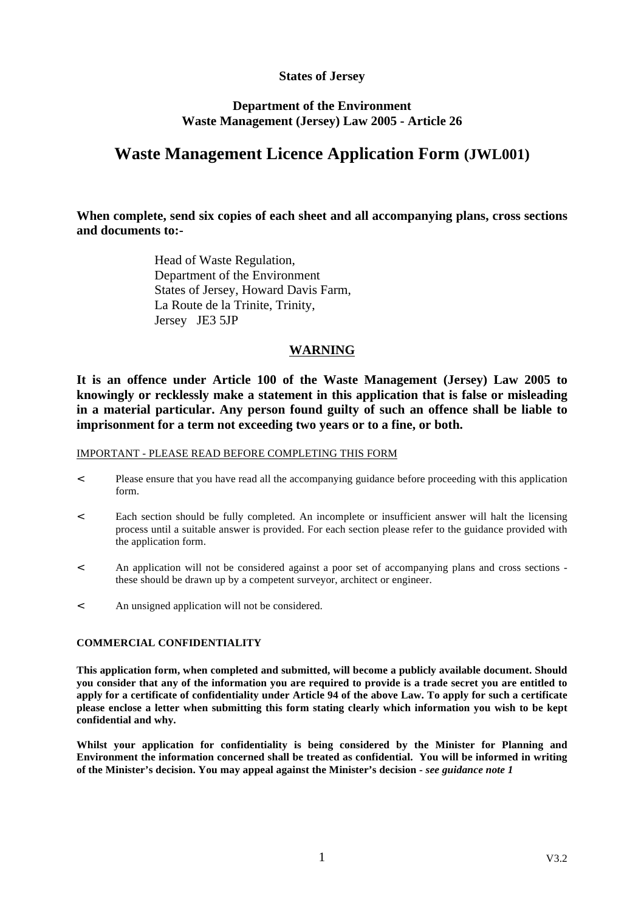## **States of Jersey**

## **Department of the Environment Waste Management (Jersey) Law 2005 - Article 26**

# **Waste Management Licence Application Form (JWL001)**

## **When complete, send six copies of each sheet and all accompanying plans, cross sections and documents to:-**

 Head of Waste Regulation, Department of the Environment States of Jersey, Howard Davis Farm, La Route de la Trinite, Trinity, Jersey JE3 5JP

## **WARNING**

**It is an offence under Article 100 of the Waste Management (Jersey) Law 2005 to knowingly or recklessly make a statement in this application that is false or misleading in a material particular. Any person found guilty of such an offence shall be liable to imprisonment for a term not exceeding two years or to a fine, or both.**

## IMPORTANT - PLEASE READ BEFORE COMPLETING THIS FORM

- < Please ensure that you have read all the accompanying guidance before proceeding with this application form.
- < Each section should be fully completed. An incomplete or insufficient answer will halt the licensing process until a suitable answer is provided. For each section please refer to the guidance provided with the application form.
- < An application will not be considered against a poor set of accompanying plans and cross sections these should be drawn up by a competent surveyor, architect or engineer.
- < An unsigned application will not be considered.

## **COMMERCIAL CONFIDENTIALITY**

**This application form, when completed and submitted, will become a publicly available document. Should you consider that any of the information you are required to provide is a trade secret you are entitled to apply for a certificate of confidentiality under Article 94 of the above Law. To apply for such a certificate please enclose a letter when submitting this form stating clearly which information you wish to be kept confidential and why.**

**Whilst your application for confidentiality is being considered by the Minister for Planning and Environment the information concerned shall be treated as confidential. You will be informed in writing of the Minister's decision. You may appeal against the Minister's decision -** *see guidance note 1*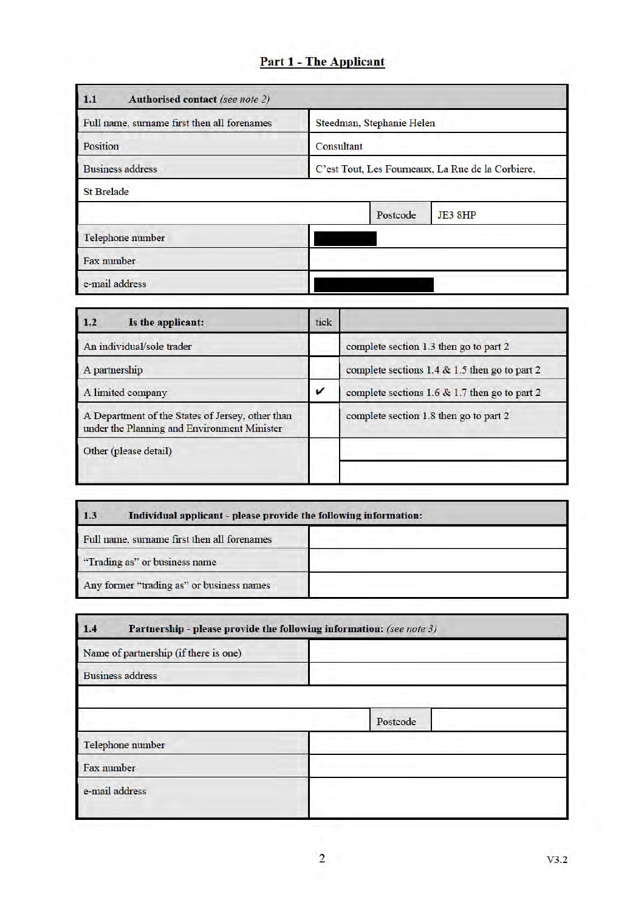# **Part 1 - The Applicant**

| <b>Authorised contact (see note 2)</b><br>1.1 |                                                   |                           |         |
|-----------------------------------------------|---------------------------------------------------|---------------------------|---------|
| Full name, surname first then all forenames   |                                                   | Steedman, Stephanie Helen |         |
| Position                                      | Consultant                                        |                           |         |
| <b>Business address</b>                       | C'est Tout, Les Fourneaux, La Rue de la Corbiere, |                           |         |
| <b>St Brelade</b>                             |                                                   |                           |         |
|                                               |                                                   | Postcode                  | JE3 8HP |
| Telephone number                              |                                                   |                           |         |
| Fax number                                    |                                                   |                           |         |
| e-mail address                                |                                                   |                           |         |

| Is the applicant:<br>1.2                                                                        | tick |                                                 |
|-------------------------------------------------------------------------------------------------|------|-------------------------------------------------|
| An individual/sole trader                                                                       |      | complete section 1.3 then go to part 2          |
| A partnership                                                                                   |      | complete sections 1.4 $&$ 1.5 then go to part 2 |
| A limited company                                                                               | ✓    | complete sections 1.6 & 1.7 then go to part 2   |
| A Department of the States of Jersey, other than<br>under the Planning and Environment Minister |      | complete section 1.8 then go to part 2          |
| Other (please detail)                                                                           |      |                                                 |
|                                                                                                 |      |                                                 |

| 1.3<br>Individual applicant - please provide the following information: |  |  |
|-------------------------------------------------------------------------|--|--|
| Full name, surname first then all forenames                             |  |  |
| "Trading as" or business name                                           |  |  |
| Any former "trading as" or business names                               |  |  |

| Partnership - please provide the following information: (see note 3)<br>1.4 |          |  |
|-----------------------------------------------------------------------------|----------|--|
| Name of partnership (if there is one)                                       |          |  |
| <b>Business address</b>                                                     |          |  |
|                                                                             |          |  |
|                                                                             | Postcode |  |
| Telephone number                                                            |          |  |
| Fax number                                                                  |          |  |
| e-mail address                                                              |          |  |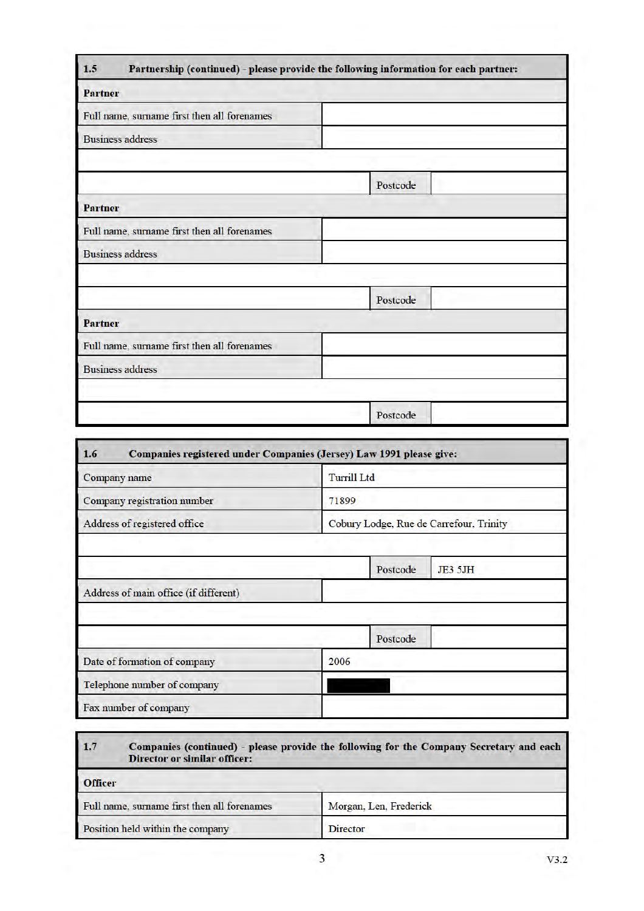| 1.5                                         | Partnership (continued) - please provide the following information for each partner: |
|---------------------------------------------|--------------------------------------------------------------------------------------|
| <b>Partner</b>                              |                                                                                      |
| Full name, surname first then all forenames |                                                                                      |
| <b>Business address</b>                     |                                                                                      |
|                                             |                                                                                      |
|                                             | Postcode                                                                             |
| <b>Partner</b>                              |                                                                                      |
| Full name, surname first then all forenames |                                                                                      |
| <b>Business address</b>                     |                                                                                      |
|                                             |                                                                                      |
|                                             | Postcode                                                                             |
| <b>Partner</b>                              |                                                                                      |
| Full name, surname first then all forenames |                                                                                      |
| <b>Business address</b>                     |                                                                                      |
|                                             |                                                                                      |
|                                             | Postcode                                                                             |

| Companies registered under Companies (Jersey) Law 1991 please give:<br>1.6 |                                         |          |                |
|----------------------------------------------------------------------------|-----------------------------------------|----------|----------------|
| Company name                                                               | <b>Turrill Ltd</b>                      |          |                |
| Company registration number                                                | 71899                                   |          |                |
| Address of registered office                                               | Cobury Lodge, Rue de Carrefour, Trinity |          |                |
|                                                                            |                                         |          |                |
|                                                                            |                                         | Postcode | <b>JE3 5JH</b> |
| Address of main office (if different)                                      |                                         |          |                |
|                                                                            |                                         |          |                |
|                                                                            |                                         | Postcode |                |
| Date of formation of company                                               | 2006                                    |          |                |
| Telephone number of company                                                |                                         |          |                |
| Fax number of company                                                      |                                         |          |                |

| 1.7            | Companies (continued) - please provide the following for the Company Secretary and each<br><b>Director or similar officer:</b> |                        |  |  |  |
|----------------|--------------------------------------------------------------------------------------------------------------------------------|------------------------|--|--|--|
| <b>Officer</b> |                                                                                                                                |                        |  |  |  |
|                | Full name, surname first then all forenames                                                                                    | Morgan, Len, Frederick |  |  |  |
|                | Position held within the company                                                                                               | <b>Director</b>        |  |  |  |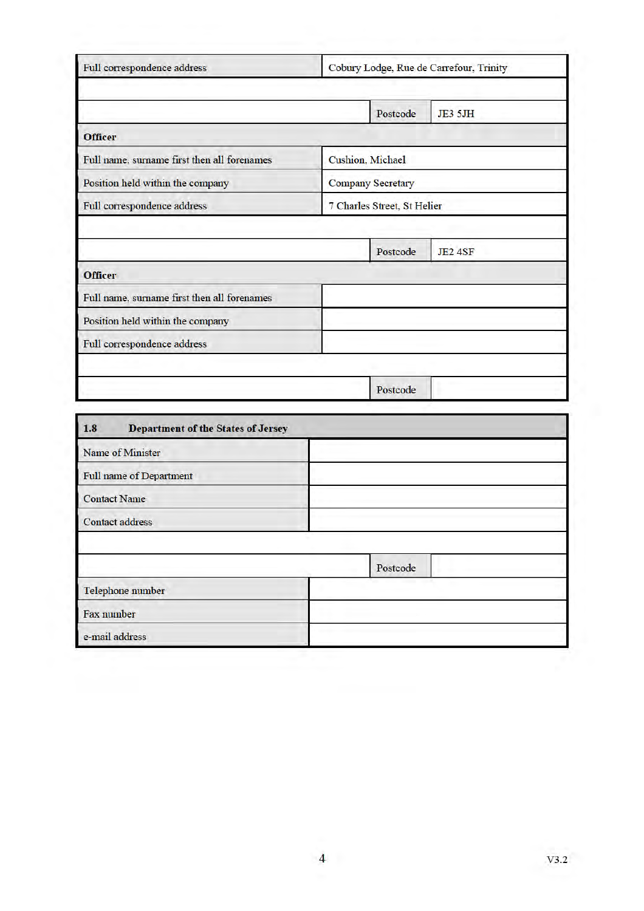|                                             |                             | Postcode | <b>JE3 5JH</b> |
|---------------------------------------------|-----------------------------|----------|----------------|
| <b>Officer</b>                              |                             |          |                |
| Full name, surname first then all forenames | Cushion, Michael            |          |                |
| Position held within the company            | <b>Company Secretary</b>    |          |                |
| Full correspondence address                 | 7 Charles Street, St Helier |          |                |
|                                             |                             |          |                |
|                                             |                             |          |                |
| <b>Officer</b>                              |                             | Postcode | <b>JE2 4SF</b> |
| Full name, surname first then all forenames |                             |          |                |
| Position held within the company            |                             |          |                |

| Name of Minister               |          |
|--------------------------------|----------|
|                                |          |
| <b>Full name of Department</b> |          |
| <b>Contact Name</b>            |          |
| <b>Contact address</b>         |          |
|                                |          |
|                                |          |
|                                | Postcode |
| Telephone number               |          |
| Fax number                     |          |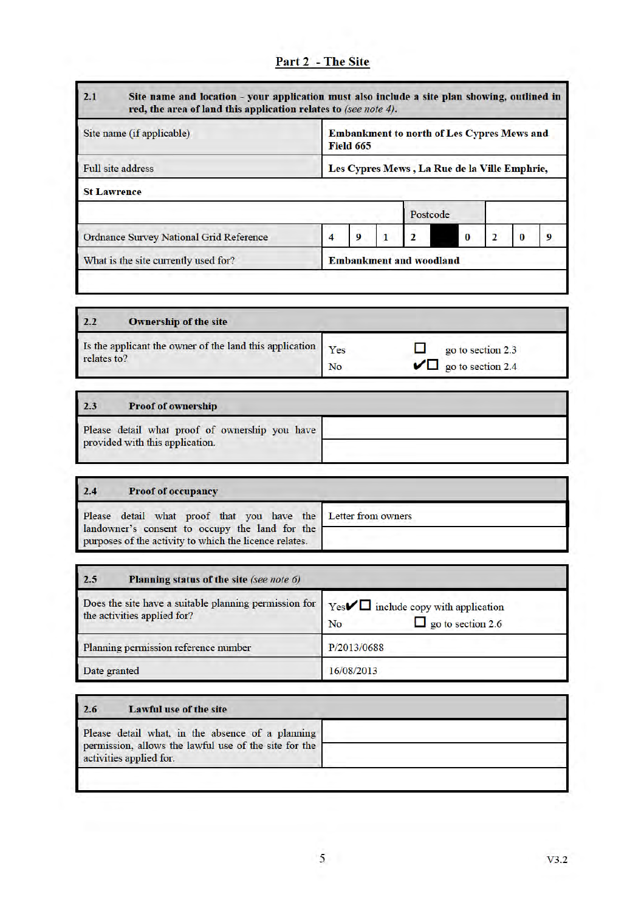| 2.1                                            | Site name and location - your application must also include a site plan showing, outlined in<br>red, the area of land this application relates to (see note 4). |                  |  |                                                   |  |   |  |  |
|------------------------------------------------|-----------------------------------------------------------------------------------------------------------------------------------------------------------------|------------------|--|---------------------------------------------------|--|---|--|--|
| Site name (if applicable)                      |                                                                                                                                                                 | <b>Field 665</b> |  | <b>Embankment to north of Les Cypres Mews and</b> |  |   |  |  |
| <b>Full site address</b>                       | Les Cypres Mews, La Rue de la Ville Emphrie,                                                                                                                    |                  |  |                                                   |  |   |  |  |
| <b>St Lawrence</b>                             |                                                                                                                                                                 |                  |  |                                                   |  |   |  |  |
|                                                |                                                                                                                                                                 |                  |  | Postcode                                          |  |   |  |  |
| <b>Ordnance Survey National Grid Reference</b> | 4                                                                                                                                                               | 9                |  | 2                                                 |  | , |  |  |
| What is the site currently used for?           | <b>Embankment and woodland</b>                                                                                                                                  |                  |  |                                                   |  |   |  |  |

| 2.2         | <b>Ownership of the site</b>                                |    |                                                      |
|-------------|-------------------------------------------------------------|----|------------------------------------------------------|
| relates to? | Is the applicant the owner of the land this application Yes | No | go to section 2.3<br>$\sqrt{\Box}$ go to section 2.4 |

# $2.3$ **Proof of ownership**  $\label{eq:pe}$  Please detail what proof of ownership you have provided with this application.

| 2.4 | <b>Proof of occupancy</b>                                                                                |  |
|-----|----------------------------------------------------------------------------------------------------------|--|
|     | Please detail what proof that you have the Letter from owners                                            |  |
|     | landowner's consent to occupy the land for the<br>purposes of the activity to which the licence relates. |  |

| 2.5<br>Planning status of the site (see note 6)                                      |                                                                                          |  |
|--------------------------------------------------------------------------------------|------------------------------------------------------------------------------------------|--|
| Does the site have a suitable planning permission for<br>the activities applied for? | Yes $\nabla$ include copy with application<br>$\Box$ go to section 2.6<br>N <sub>o</sub> |  |
| Planning permission reference number                                                 | P/2013/0688                                                                              |  |
| Date granted                                                                         | 16/08/2013                                                                               |  |

| <b>Lawful use of the site</b><br>2.6                                             |  |
|----------------------------------------------------------------------------------|--|
| Please detail what, in the absence of a planning                                 |  |
| permission, allows the lawful use of the site for the<br>activities applied for. |  |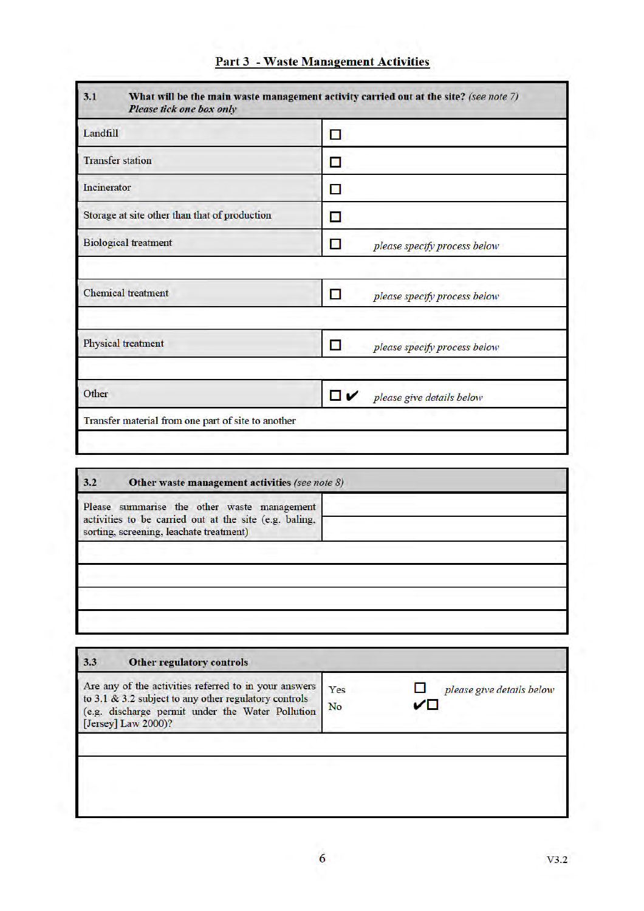| Landfill                                      | п                                        |
|-----------------------------------------------|------------------------------------------|
| <b>Transfer station</b>                       | О                                        |
| Incinerator                                   | П                                        |
| Storage at site other than that of production | в                                        |
| <b>Biological treatment</b>                   | <b>A</b><br>please specify process below |
|                                               |                                          |
| <b>Chemical</b> treatment                     | П<br>please specify process below        |
|                                               |                                          |
| Physical treatment                            | П<br>please specify process below        |
|                                               |                                          |
| Other                                         | ◘✓<br>please give details below          |

| Other waste management activities (see note 8)<br>3.2                                                                                            |  |  |
|--------------------------------------------------------------------------------------------------------------------------------------------------|--|--|
| Please summarise the other waste management<br>activities to be carried out at the site (e.g. baling,<br>sorting, screening, leachate treatment) |  |  |
|                                                                                                                                                  |  |  |
|                                                                                                                                                  |  |  |
|                                                                                                                                                  |  |  |

| 3.3<br><b>Other regulatory controls</b>                                                                                                                                                   |                                                     |
|-------------------------------------------------------------------------------------------------------------------------------------------------------------------------------------------|-----------------------------------------------------|
| Are any of the activities referred to in your answers<br>to 3.1 & 3.2 subject to any other regulatory controls<br>(e.g. discharge permit under the Water Pollution<br>[Jersey] Law 2000)? | Yes<br>please give details below<br>↙⊓<br><b>No</b> |
|                                                                                                                                                                                           |                                                     |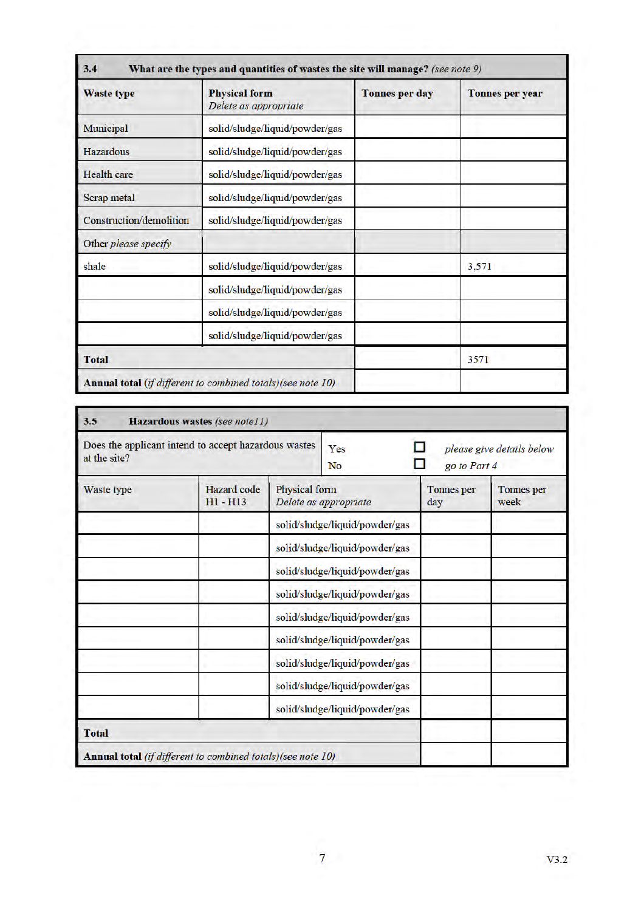| <b>Physical form</b><br><b>Waste type</b><br>Delete as appropriate |                                                             | <b>Tonnes per day</b> | <b>Tonnes per year</b> |
|--------------------------------------------------------------------|-------------------------------------------------------------|-----------------------|------------------------|
| Municipal                                                          | solid/sludge/liquid/powder/gas                              |                       |                        |
| Hazardous                                                          | solid/sludge/liquid/powder/gas                              |                       |                        |
| <b>Health</b> care                                                 | solid/sludge/liquid/powder/gas                              |                       |                        |
| Scrap metal                                                        | solid/sludge/liquid/powder/gas                              |                       |                        |
| Construction/demolition<br>solid/sludge/liquid/powder/gas          |                                                             |                       |                        |
| Other please specify                                               |                                                             |                       |                        |
| shale                                                              | solid/sludge/liquid/powder/gas                              |                       | 3,571                  |
|                                                                    | solid/sludge/liquid/powder/gas                              |                       |                        |
|                                                                    | solid/sludge/liquid/powder/gas                              |                       |                        |
|                                                                    | solid/sludge/liquid/powder/gas                              |                       |                        |
| <b>Total</b>                                                       |                                                             |                       | 3571                   |
|                                                                    | Annual total (if different to combined totals)(see note 10) |                       |                        |

| Does the applicant intend to accept hazardous wastes<br>at the site? |                           | - 1<br>please give details below<br>Yes<br>go to Part 4<br>N <sub>o</sub> |                                |                   |                           |
|----------------------------------------------------------------------|---------------------------|---------------------------------------------------------------------------|--------------------------------|-------------------|---------------------------|
| Waste type                                                           | Hazard code<br>$H1 - H13$ | Physical form                                                             | Delete as appropriate          | Tonnes per<br>day | <b>Tonnes</b> per<br>week |
|                                                                      |                           |                                                                           | solid/sludge/liquid/powder/gas |                   |                           |
|                                                                      |                           |                                                                           | solid/sludge/liquid/powder/gas |                   |                           |
|                                                                      |                           |                                                                           | solid/sludge/liquid/powder/gas |                   |                           |
|                                                                      |                           |                                                                           | solid/sludge/liquid/powder/gas |                   |                           |
|                                                                      |                           |                                                                           | solid/sludge/liquid/powder/gas |                   |                           |
|                                                                      |                           |                                                                           | solid/sludge/liquid/powder/gas |                   |                           |
|                                                                      |                           |                                                                           | solid/sludge/liquid/powder/gas |                   |                           |
|                                                                      |                           |                                                                           | solid/sludge/liquid/powder/gas |                   |                           |
|                                                                      |                           |                                                                           | solid/sludge/liquid/powder/gas |                   |                           |
| <b>Total</b>                                                         |                           |                                                                           |                                |                   |                           |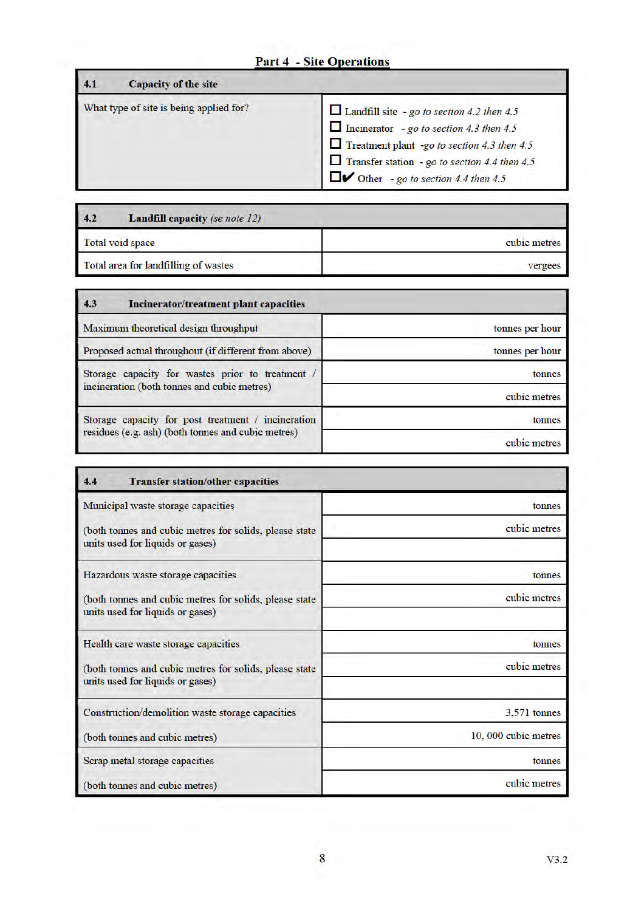## **Part 4 - Site Operations**

| <b>Capacity of the site</b><br>4.1      |                                                                                                                                                                                                                                                                                  |
|-----------------------------------------|----------------------------------------------------------------------------------------------------------------------------------------------------------------------------------------------------------------------------------------------------------------------------------|
| What type of site is being applied for? | $\Box$ Landfill site - go to section 4.2 then 4.5<br>$\Box$ Incinerator - go to section 4.3 then 4.5<br>$\Box$ Treatment plant -go to section 4.3 then 4.5<br>$\Box$ Transfer station - go to section 4.4 then 4.5<br>$\Box$ $\triangleright$ Other - go to section 4.4 then 4.5 |

| 4.2              | <b>Landfill capacity</b> (se note 12) |              |  |
|------------------|---------------------------------------|--------------|--|
| Total void space |                                       | cubic metres |  |
|                  | Total area for landfilling of wastes  | vergees      |  |

| 4.3<br>Incinerator/treatment plant capacities        |                 |  |
|------------------------------------------------------|-----------------|--|
| Maximum theoretical design throughput                | tonnes per hour |  |
| Proposed actual throughout (if different from above) | tonnes per hour |  |
| Storage capacity for wastes prior to treatment /     | tonnes          |  |
| incineration (both tonnes and cubic metres)          | cubic metres    |  |
| Storage capacity for post treatment / incineration   | tonnes          |  |
| residues (e.g. ash) (both tonnes and cubic metres)   | cubic metres    |  |

| 4.4<br><b>Transfer station/other capacities</b>                                            |                     |
|--------------------------------------------------------------------------------------------|---------------------|
| Municipal waste storage capacities                                                         | tonnes              |
| (both tonnes and cubic metres for solids, please state<br>units used for liquids or gases) | cubic metres        |
| Hazardous waste storage capacities                                                         | tonnes              |
| (both tonnes and cubic metres for solids, please state<br>units used for liquids or gases) | cubic metres        |
| Health care waste storage capacities                                                       | tonnes              |
| (both tonnes and cubic metres for solids, please state<br>units used for liquids or gases) | cubic metres        |
| Construction/demolition waste storage capacities                                           | $3.571$ tonnes      |
| (both tonnes and cubic metres)                                                             | 10,000 cubic metres |
| Scrap metal storage capacities                                                             | tonnes              |
| (both tonnes and cubic metres)                                                             | cubic metres        |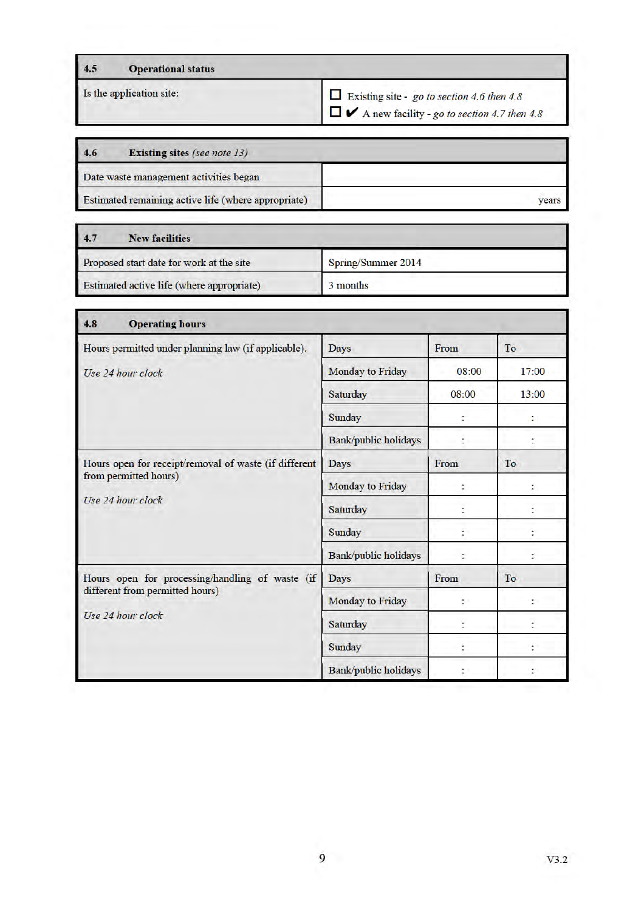| 4.5 | <b>Operational status</b> |                                            |
|-----|---------------------------|--------------------------------------------|
|     | Is the application site:  | Existing site - go to section 4.6 then 4.8 |

 $\square$   $\blacktriangleright$  A new facility - go to section 4.7 then 4.8

| 4.6<br><b>Existing sites (see note 13)</b>          |       |
|-----------------------------------------------------|-------|
| Date waste management activities began              |       |
| Estimated remaining active life (where appropriate) | vears |

| 4.7<br><b>New facilities</b>              |                    |
|-------------------------------------------|--------------------|
| Proposed start date for work at the site  | Spring/Summer 2014 |
| Estimated active life (where appropriate) | 3 months           |

| 4.8<br><b>Operating hours</b>                                                                           |                             |       |       |
|---------------------------------------------------------------------------------------------------------|-----------------------------|-------|-------|
| Hours permitted under planning law (if applicable).                                                     | <b>Days</b>                 | From  | To    |
| Use 24 hour clock                                                                                       | Monday to Friday            | 08:00 | 17:00 |
|                                                                                                         | Saturday                    | 08:00 | 13:00 |
|                                                                                                         | Sunday                      |       |       |
|                                                                                                         | <b>Bank/public holidays</b> |       |       |
| Hours open for receipt/removal of waste (if different<br>from permitted hours)<br>Use 24 hour clock     | <b>Days</b>                 | From  | To    |
|                                                                                                         | <b>Monday to Friday</b>     |       |       |
|                                                                                                         | Saturday                    |       |       |
|                                                                                                         | Sunday                      |       |       |
|                                                                                                         | Bank/public holidays        | t     |       |
| Hours open for processing/handling of waste (if<br>different from permitted hours)<br>Use 24 hour clock | <b>Days</b>                 | From  | To    |
|                                                                                                         | Monday to Friday            | ζ÷    |       |
|                                                                                                         | Saturday                    |       |       |
|                                                                                                         | Sunday                      |       |       |
|                                                                                                         | Bank/public holidays        |       |       |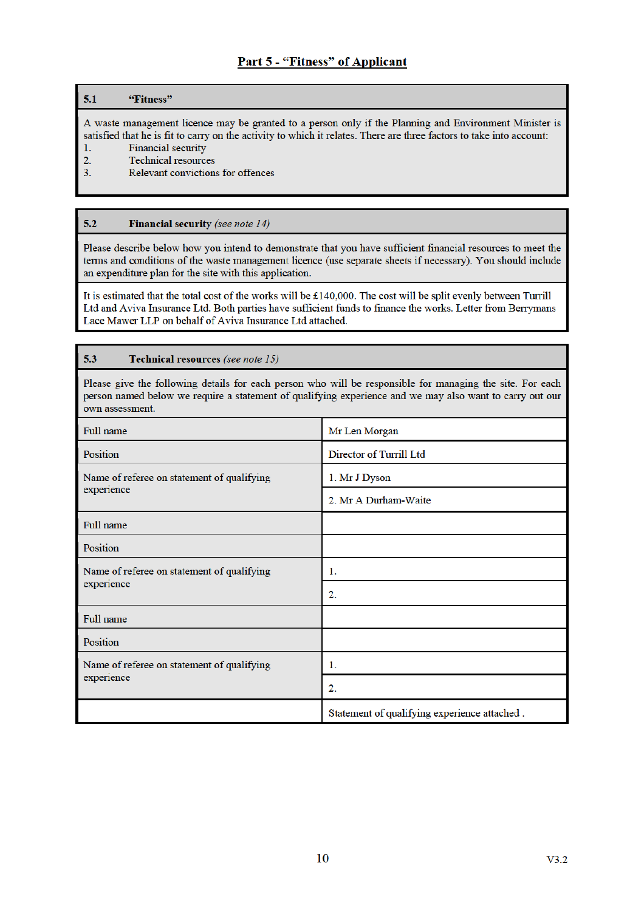### $5.1$ "Fitness"

A waste management licence may be granted to a person only if the Planning and Environment Minister is satisfied that he is fit to carry on the activity to which it relates. There are three factors to take into account:

- Financial security  $1.$
- $\overline{2}$ . Technical resources
- $3.$ Relevant convictions for offences

### $5.2$ **Financial security** (see note 14)

Please describe below how you intend to demonstrate that you have sufficient financial resources to meet the terms and conditions of the waste management licence (use separate sheets if necessary). You should include an expenditure plan for the site with this application.

It is estimated that the total cost of the works will be  $£140,000$ . The cost will be split evenly between Turrill Ltd and Aviva Insurance Ltd. Both parties have sufficient funds to finance the works. Letter from Berrymans Lace Mawer LLP on behalf of Aviva Insurance Ltd attached.

### $5.3$ Technical resources (see note 15)

Please give the following details for each person who will be responsible for managing the site. For each person named below we require a statement of qualifying experience and we may also want to carry out our own assessment.

| Full name                                                | Mr Len Morgan                                |
|----------------------------------------------------------|----------------------------------------------|
| Position                                                 | Director of Turrill Ltd                      |
| Name of referee on statement of qualifying<br>experience | 1. Mr J Dyson                                |
|                                                          | 2. Mr A Durham-Waite                         |
| Full name                                                |                                              |
| <b>Position</b>                                          |                                              |
| Name of referee on statement of qualifying<br>experience | 1.                                           |
|                                                          | 2.                                           |
| Full name                                                |                                              |
| Position                                                 |                                              |
| Name of referee on statement of qualifying               | 1.                                           |
| experience                                               | $\overline{2}$ .                             |
|                                                          | Statement of qualifying experience attached. |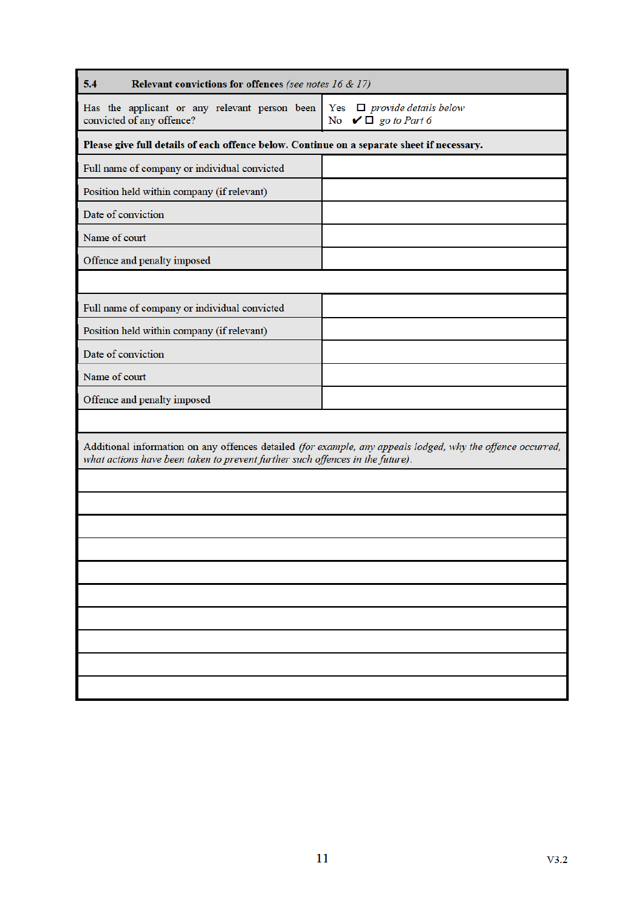| 5.4<br>Relevant convictions for offences (see notes 16 & 17)                               |                                                                                                             |
|--------------------------------------------------------------------------------------------|-------------------------------------------------------------------------------------------------------------|
| Has the applicant or any relevant person been<br>convicted of any offence?                 | Yes $\Box$ provide details below<br>No $\vee \Box$ go to Part 6                                             |
| Please give full details of each offence below. Continue on a separate sheet if necessary. |                                                                                                             |
| Full name of company or individual convicted                                               |                                                                                                             |
| Position held within company (if relevant)                                                 |                                                                                                             |
| Date of conviction                                                                         |                                                                                                             |
| Name of court                                                                              |                                                                                                             |
| Offence and penalty imposed                                                                |                                                                                                             |
|                                                                                            |                                                                                                             |
| Full name of company or individual convicted                                               |                                                                                                             |
| Position held within company (if relevant)                                                 |                                                                                                             |
| Date of conviction                                                                         |                                                                                                             |
| Name of court                                                                              |                                                                                                             |
| Offence and penalty imposed                                                                |                                                                                                             |
|                                                                                            |                                                                                                             |
| what actions have been taken to prevent further such offences in the future).              | Additional information on any offences detailed (for example, any appeals lodged, why the offence occurred, |
|                                                                                            |                                                                                                             |
|                                                                                            |                                                                                                             |
|                                                                                            |                                                                                                             |
|                                                                                            |                                                                                                             |
|                                                                                            |                                                                                                             |
|                                                                                            |                                                                                                             |
|                                                                                            |                                                                                                             |
|                                                                                            |                                                                                                             |
|                                                                                            |                                                                                                             |
|                                                                                            |                                                                                                             |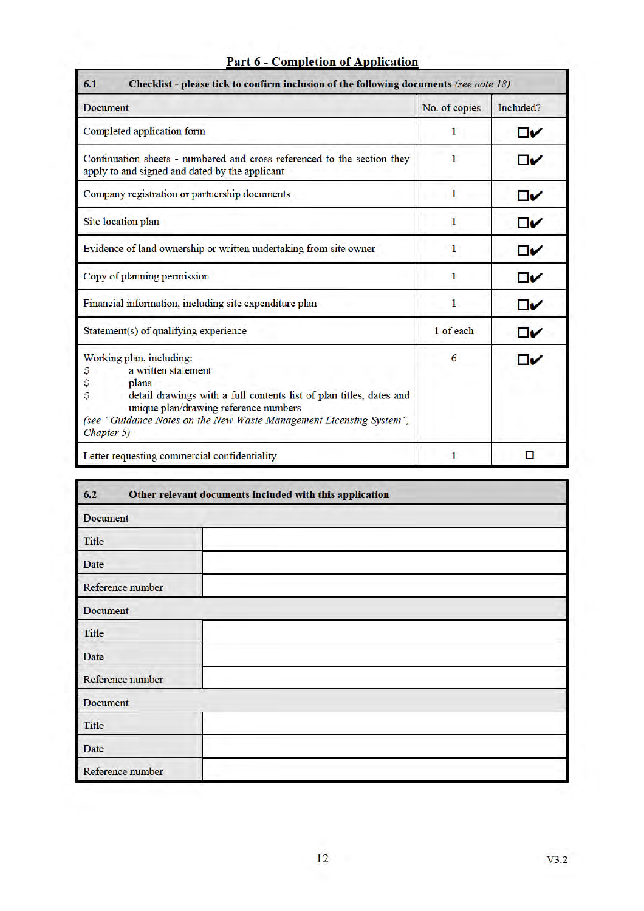| <b>Document</b>                                                                                                                                                                                                                                                               | No. of copies | Included? |
|-------------------------------------------------------------------------------------------------------------------------------------------------------------------------------------------------------------------------------------------------------------------------------|---------------|-----------|
| Completed application form                                                                                                                                                                                                                                                    | 1             | $\Box$    |
| Continuation sheets - numbered and cross referenced to the section they<br>apply to and signed and dated by the applicant                                                                                                                                                     |               | ⊡Й        |
| Company registration or partnership documents                                                                                                                                                                                                                                 | 1             | □✓        |
| Site location plan                                                                                                                                                                                                                                                            | 1             | $\Box$    |
| Evidence of land ownership or written undertaking from site owner                                                                                                                                                                                                             | 1             | $\Box$    |
| Copy of planning permission                                                                                                                                                                                                                                                   | 1             | $\Box$    |
| Financial information, including site expenditure plan                                                                                                                                                                                                                        | 1             | □✓        |
| Statement(s) of qualifying experience                                                                                                                                                                                                                                         | 1 of each     | □✓        |
| Working plan, including:<br>a written statement<br>Ş<br>\$<br>plans<br>Ş<br>detail drawings with a full contents list of plan titles, dates and<br>unique plan/drawing reference numbers<br>(see "Guidance Notes on the New Waste Management Licensing System",<br>Chapter 5) | 6             | ⊡Й        |
| Letter requesting commercial confidentiality                                                                                                                                                                                                                                  | 1             | п         |

# Part 6 - Completion of Application

| 6.2<br>Other relevant documents included with this application |  |
|----------------------------------------------------------------|--|
| Document                                                       |  |
| <b>Title</b>                                                   |  |
| Date                                                           |  |
| Reference number                                               |  |
| Document                                                       |  |
| <b>Title</b>                                                   |  |
| Date                                                           |  |
| Reference number                                               |  |
| Document                                                       |  |
| <b>Title</b>                                                   |  |
| <b>Date</b>                                                    |  |
| Reference number                                               |  |